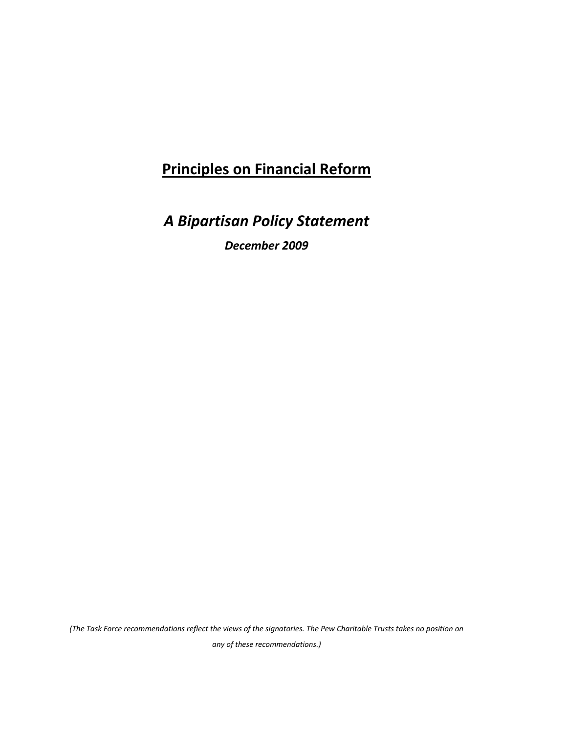# **Principles on Financial Reform**

*A Bipartisan Policy Statement* 

*December 2009*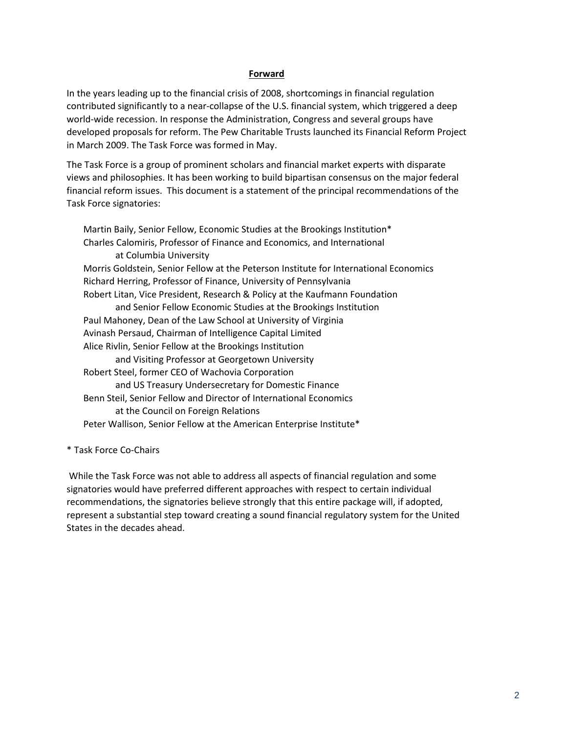# **Forward**

In the years leading up to the financial crisis of 2008, shortcomings in financial regulation contributed significantly to a near-collapse of the U.S. financial system, which triggered a deep world-wide recession. In response the Administration, Congress and several groups have developed proposals for reform. The Pew Charitable Trusts launched its Financial Reform Project in March 2009. The Task Force was formed in May.

The Task Force is a group of prominent scholars and financial market experts with disparate views and philosophies. It has been working to build bipartisan consensus on the major federal financial reform issues. This document is a statement of the principal recommendations of the Task Force signatories:

Martin Baily[, Senior Fellow, Economic Studies](http://www.brookings.edu/economics.aspx) at the Brookings Institution\* Charles Calomiris, Professor of Finance and Economics, and International at Columbia University Morris Goldstein, Senior Fellow at the Peterson Institute for International Economics Richard Herring, Professor of Finance, University of Pennsylvania Robert Litan, Vice President, Research & Policy at the Kaufmann Foundation and Senior Fellow Economic Studies at the Brookings Institution Paul Mahoney, Dean of the Law School at University of Virginia Avinash Persaud, Chairman of Intelligence Capital Limited Alice Rivlin, Senior Fellow at the Brookings Institution and Visiting Professor at Georgetown University Robert Steel, former CEO of Wachovia Corporation and US Treasury Undersecretary for Domestic Finance Benn Steil, Senior Fellow and Director of International Economics at the Council on Foreign Relations Peter Wallison, Senior Fellow at the American Enterprise Institute\*

# \* Task Force Co-Chairs

While the Task Force was not able to address all aspects of financial regulation and some signatories would have preferred different approaches with respect to certain individual recommendations, the signatories believe strongly that this entire package will, if adopted, represent a substantial step toward creating a sound financial regulatory system for the United States in the decades ahead.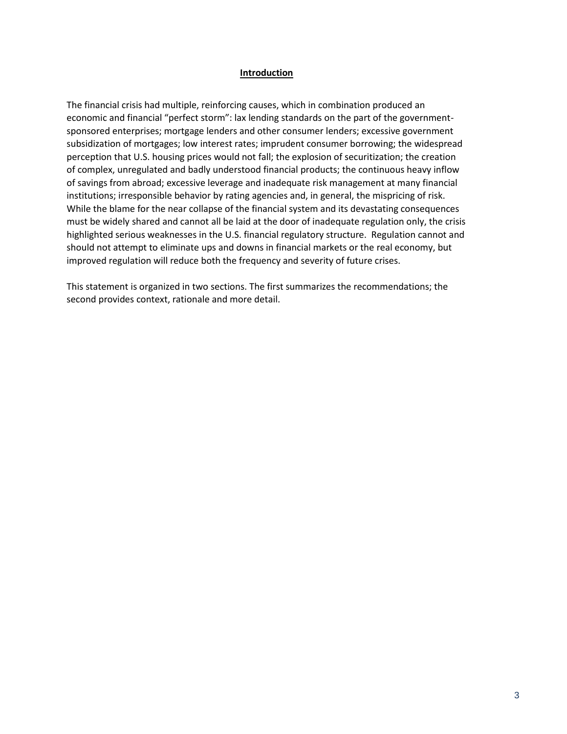#### **Introduction**

The financial crisis had multiple, reinforcing causes, which in combination produced an economic and financial "perfect storm": lax lending standards on the part of the governmentsponsored enterprises; mortgage lenders and other consumer lenders; excessive government subsidization of mortgages; low interest rates; imprudent consumer borrowing; the widespread perception that U.S. housing prices would not fall; the explosion of securitization; the creation of complex, unregulated and badly understood financial products; the continuous heavy inflow of savings from abroad; excessive leverage and inadequate risk management at many financial institutions; irresponsible behavior by rating agencies and, in general, the mispricing of risk. While the blame for the near collapse of the financial system and its devastating consequences must be widely shared and cannot all be laid at the door of inadequate regulation only, the crisis highlighted serious weaknesses in the U.S. financial regulatory structure. Regulation cannot and should not attempt to eliminate ups and downs in financial markets or the real economy, but improved regulation will reduce both the frequency and severity of future crises.

This statement is organized in two sections. The first summarizes the recommendations; the second provides context, rationale and more detail.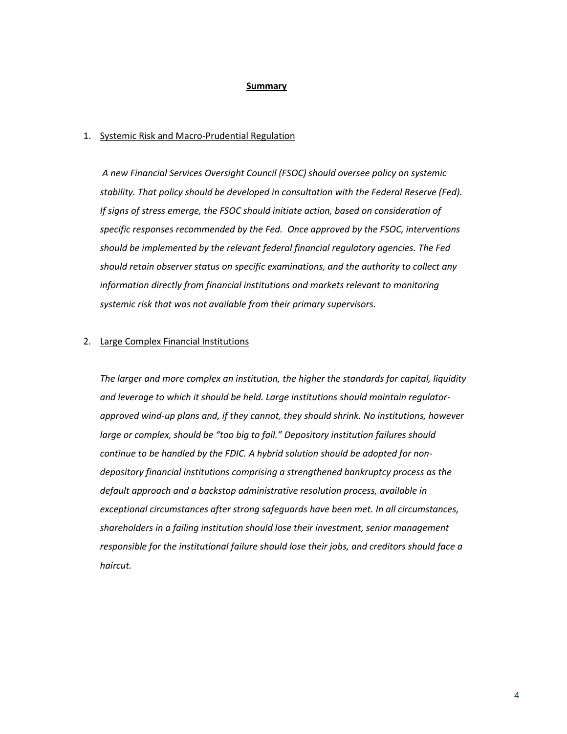#### **Summary**

#### 1. Systemic Risk and Macro-Prudential Regulation

*A new Financial Services Oversight Council (FSOC) should oversee policy on systemic stability. That policy should be developed in consultation with the Federal Reserve (Fed). If signs of stress emerge, the FSOC should initiate action, based on consideration of specific responses recommended by the Fed. Once approved by the FSOC, interventions should be implemented by the relevant federal financial regulatory agencies. The Fed should retain observer status on specific examinations, and the authority to collect any information directly from financial institutions and markets relevant to monitoring systemic risk that was not available from their primary supervisors.*

## 2. Large Complex Financial Institutions

*The larger and more complex an institution, the higher the standards for capital, liquidity and leverage to which it should be held. Large institutions should maintain regulatorapproved wind-up plans and, if they cannot, they should shrink. No institutions, however large or complex, should be "too big to fail." Depository institution failures should continue to be handled by the FDIC. A hybrid solution should be adopted for nondepository financial institutions comprising a strengthened bankruptcy process as the default approach and a backstop administrative resolution process, available in exceptional circumstances after strong safeguards have been met. In all circumstances, shareholders in a failing institution should lose their investment, senior management responsible for the institutional failure should lose their jobs, and creditors should face a haircut.*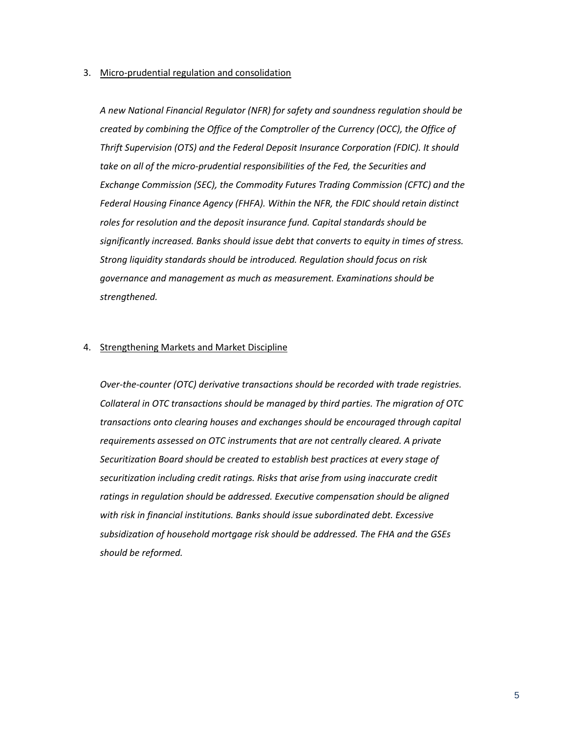#### 3. Micro-prudential regulation and consolidation

*A new National Financial Regulator (NFR) for safety and soundness regulation should be created by combining the Office of the Comptroller of the Currency (OCC), the Office of Thrift Supervision (OTS) and the Federal Deposit Insurance Corporation (FDIC). It should take on all of the micro-prudential responsibilities of the Fed, the Securities and Exchange Commission (SEC), the Commodity Futures Trading Commission (CFTC) and the Federal Housing Finance Agency (FHFA). Within the NFR, the FDIC should retain distinct roles for resolution and the deposit insurance fund. Capital standards should be significantly increased. Banks should issue debt that converts to equity in times of stress. Strong liquidity standards should be introduced. Regulation should focus on risk governance and management as much as measurement. Examinations should be strengthened.* 

#### 4. Strengthening Markets and Market Discipline

*Over-the-counter (OTC) derivative transactions should be recorded with trade registries. Collateral in OTC transactions should be managed by third parties. The migration of OTC transactions onto clearing houses and exchanges should be encouraged through capital requirements assessed on OTC instruments that are not centrally cleared. A private Securitization Board should be created to establish best practices at every stage of securitization including credit ratings. Risks that arise from using inaccurate credit ratings in regulation should be addressed. Executive compensation should be aligned with risk in financial institutions. Banks should issue subordinated debt. Excessive subsidization of household mortgage risk should be addressed. The FHA and the GSEs should be reformed.*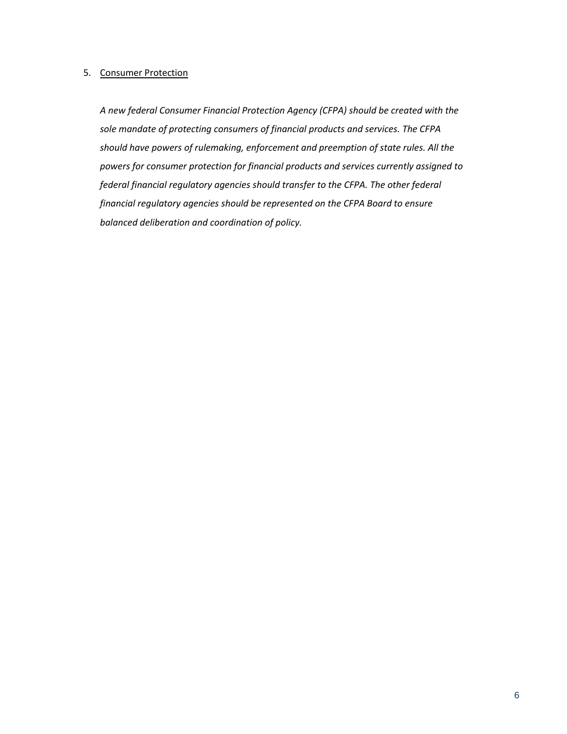## 5. Consumer Protection

*A new federal Consumer Financial Protection Agency (CFPA) should be created with the sole mandate of protecting consumers of financial products and services. The CFPA should have powers of rulemaking, enforcement and preemption of state rules. All the powers for consumer protection for financial products and services currently assigned to federal financial regulatory agencies should transfer to the CFPA. The other federal financial regulatory agencies should be represented on the CFPA Board to ensure balanced deliberation and coordination of policy.*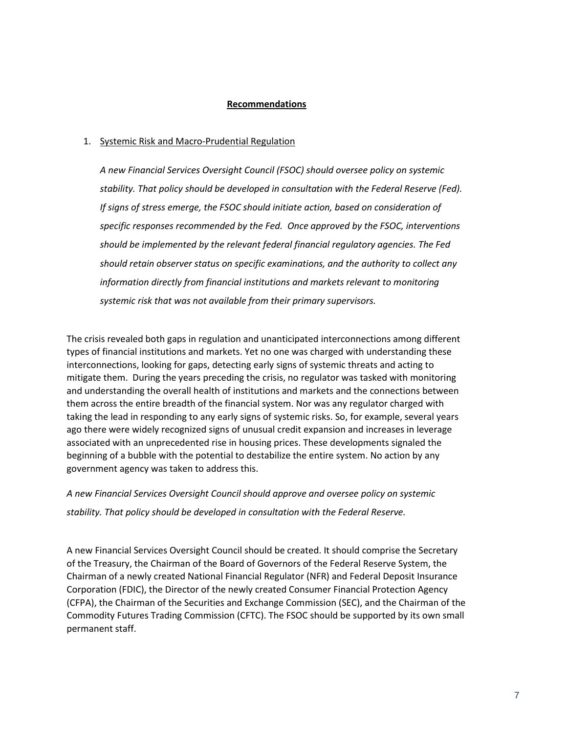# **Recommendations**

## 1. Systemic Risk and Macro-Prudential Regulation

*A new Financial Services Oversight Council (FSOC) should oversee policy on systemic stability. That policy should be developed in consultation with the Federal Reserve (Fed). If signs of stress emerge, the FSOC should initiate action, based on consideration of specific responses recommended by the Fed. Once approved by the FSOC, interventions should be implemented by the relevant federal financial regulatory agencies. The Fed should retain observer status on specific examinations, and the authority to collect any information directly from financial institutions and markets relevant to monitoring systemic risk that was not available from their primary supervisors.*

The crisis revealed both gaps in regulation and unanticipated interconnections among different types of financial institutions and markets. Yet no one was charged with understanding these interconnections, looking for gaps, detecting early signs of systemic threats and acting to mitigate them. During the years preceding the crisis, no regulator was tasked with monitoring and understanding the overall health of institutions and markets and the connections between them across the entire breadth of the financial system. Nor was any regulator charged with taking the lead in responding to any early signs of systemic risks. So, for example, several years ago there were widely recognized signs of unusual credit expansion and increases in leverage associated with an unprecedented rise in housing prices. These developments signaled the beginning of a bubble with the potential to destabilize the entire system. No action by any government agency was taken to address this.

*A new Financial Services Oversight Council should approve and oversee policy on systemic stability. That policy should be developed in consultation with the Federal Reserve.*

A new Financial Services Oversight Council should be created. It should comprise the Secretary of the Treasury, the Chairman of the Board of Governors of the Federal Reserve System, the Chairman of a newly created National Financial Regulator (NFR) and Federal Deposit Insurance Corporation (FDIC), the Director of the newly created Consumer Financial Protection Agency (CFPA), the Chairman of the Securities and Exchange Commission (SEC), and the Chairman of the Commodity Futures Trading Commission (CFTC). The FSOC should be supported by its own small permanent staff.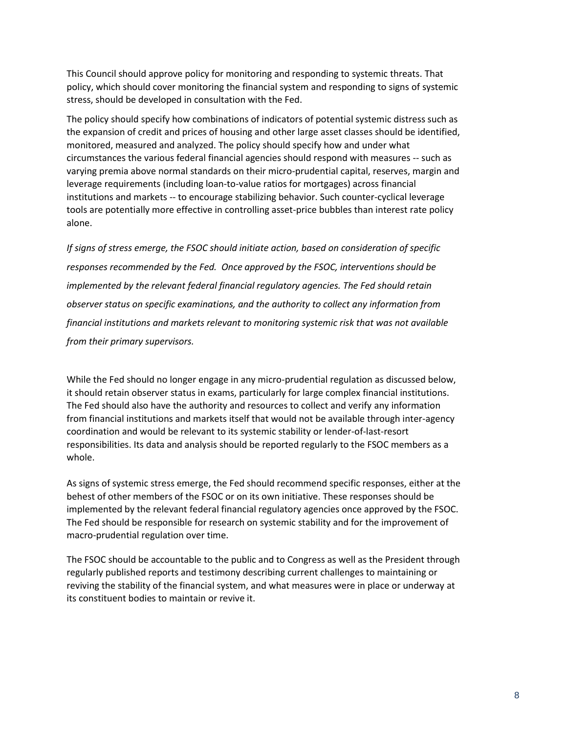This Council should approve policy for monitoring and responding to systemic threats. That policy, which should cover monitoring the financial system and responding to signs of systemic stress, should be developed in consultation with the Fed.

The policy should specify how combinations of indicators of potential systemic distress such as the expansion of credit and prices of housing and other large asset classes should be identified, monitored, measured and analyzed. The policy should specify how and under what circumstances the various federal financial agencies should respond with measures -- such as varying premia above normal standards on their micro-prudential capital, reserves, margin and leverage requirements (including loan-to-value ratios for mortgages) across financial institutions and markets -- to encourage stabilizing behavior. Such counter-cyclical leverage tools are potentially more effective in controlling asset-price bubbles than interest rate policy alone.

*If signs of stress emerge, the FSOC should initiate action, based on consideration of specific responses recommended by the Fed. Once approved by the FSOC, interventions should be implemented by the relevant federal financial regulatory agencies. The Fed should retain observer status on specific examinations, and the authority to collect any information from financial institutions and markets relevant to monitoring systemic risk that was not available from their primary supervisors.*

While the Fed should no longer engage in any micro-prudential regulation as discussed below, it should retain observer status in exams, particularly for large complex financial institutions. The Fed should also have the authority and resources to collect and verify any information from financial institutions and markets itself that would not be available through inter-agency coordination and would be relevant to its systemic stability or lender-of-last-resort responsibilities. Its data and analysis should be reported regularly to the FSOC members as a whole.

As signs of systemic stress emerge, the Fed should recommend specific responses, either at the behest of other members of the FSOC or on its own initiative. These responses should be implemented by the relevant federal financial regulatory agencies once approved by the FSOC. The Fed should be responsible for research on systemic stability and for the improvement of macro-prudential regulation over time.

The FSOC should be accountable to the public and to Congress as well as the President through regularly published reports and testimony describing current challenges to maintaining or reviving the stability of the financial system, and what measures were in place or underway at its constituent bodies to maintain or revive it.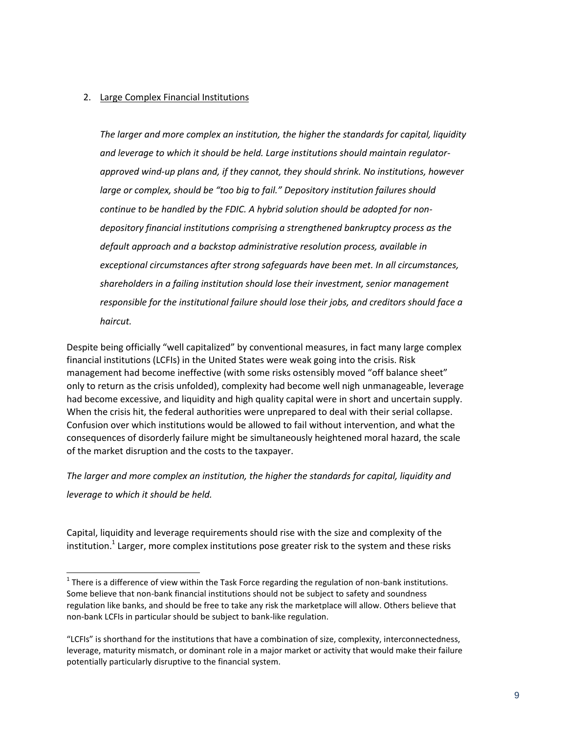# 2. Large Complex Financial Institutions

*The larger and more complex an institution, the higher the standards for capital, liquidity and leverage to which it should be held. Large institutions should maintain regulatorapproved wind-up plans and, if they cannot, they should shrink. No institutions, however large or complex, should be "too big to fail." Depository institution failures should continue to be handled by the FDIC. A hybrid solution should be adopted for nondepository financial institutions comprising a strengthened bankruptcy process as the default approach and a backstop administrative resolution process, available in exceptional circumstances after strong safeguards have been met. In all circumstances, shareholders in a failing institution should lose their investment, senior management responsible for the institutional failure should lose their jobs, and creditors should face a haircut.*

Despite being officially "well capitalized" by conventional measures, in fact many large complex financial institutions (LCFIs) in the United States were weak going into the crisis. Risk management had become ineffective (with some risks ostensibly moved "off balance sheet" only to return as the crisis unfolded), complexity had become well nigh unmanageable, leverage had become excessive, and liquidity and high quality capital were in short and uncertain supply. When the crisis hit, the federal authorities were unprepared to deal with their serial collapse. Confusion over which institutions would be allowed to fail without intervention, and what the consequences of disorderly failure might be simultaneously heightened moral hazard, the scale of the market disruption and the costs to the taxpayer.

*The larger and more complex an institution, the higher the standards for capital, liquidity and leverage to which it should be held.*

Capital, liquidity and leverage requirements should rise with the size and complexity of the institution.<sup>1</sup> Larger, more complex institutions pose greater risk to the system and these risks

**There is a difference of view within the Task Force regarding the regulation of non-bank institutions.** Some believe that non-bank financial institutions should not be subject to safety and soundness regulation like banks, and should be free to take any risk the marketplace will allow. Others believe that non-bank LCFIs in particular should be subject to bank-like regulation.

<sup>&</sup>quot;LCFIs" is shorthand for the institutions that have a combination of size, complexity, interconnectedness, leverage, maturity mismatch, or dominant role in a major market or activity that would make their failure potentially particularly disruptive to the financial system.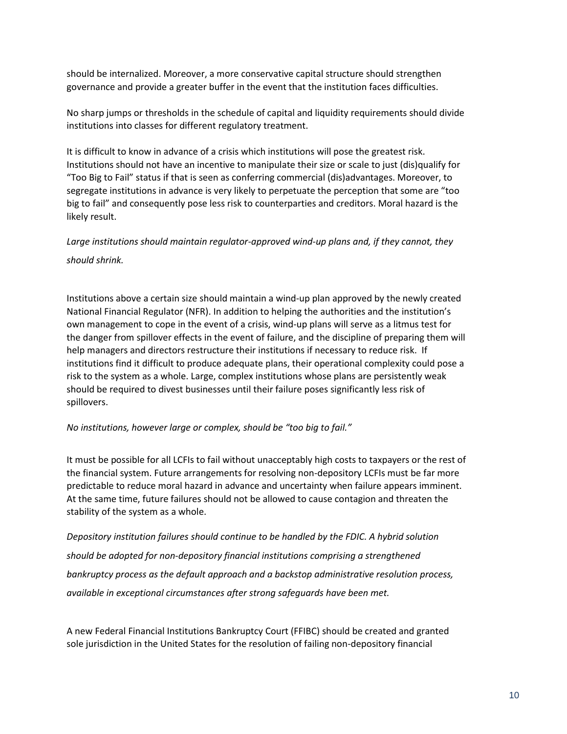should be internalized. Moreover, a more conservative capital structure should strengthen governance and provide a greater buffer in the event that the institution faces difficulties.

No sharp jumps or thresholds in the schedule of capital and liquidity requirements should divide institutions into classes for different regulatory treatment.

It is difficult to know in advance of a crisis which institutions will pose the greatest risk. Institutions should not have an incentive to manipulate their size or scale to just (dis)qualify for "Too Big to Fail" status if that is seen as conferring commercial (dis)advantages. Moreover, to segregate institutions in advance is very likely to perpetuate the perception that some are "too big to fail" and consequently pose less risk to counterparties and creditors. Moral hazard is the likely result.

*Large institutions should maintain regulator-approved wind-up plans and, if they cannot, they should shrink.*

Institutions above a certain size should maintain a wind-up plan approved by the newly created National Financial Regulator (NFR). In addition to helping the authorities and the institution's own management to cope in the event of a crisis, wind-up plans will serve as a litmus test for the danger from spillover effects in the event of failure, and the discipline of preparing them will help managers and directors restructure their institutions if necessary to reduce risk. If institutions find it difficult to produce adequate plans, their operational complexity could pose a risk to the system as a whole. Large, complex institutions whose plans are persistently weak should be required to divest businesses until their failure poses significantly less risk of spillovers.

# *No institutions, however large or complex, should be "too big to fail."*

It must be possible for all LCFIs to fail without unacceptably high costs to taxpayers or the rest of the financial system. Future arrangements for resolving non-depository LCFIs must be far more predictable to reduce moral hazard in advance and uncertainty when failure appears imminent. At the same time, future failures should not be allowed to cause contagion and threaten the stability of the system as a whole.

*Depository institution failures should continue to be handled by the FDIC. A hybrid solution should be adopted for non-depository financial institutions comprising a strengthened bankruptcy process as the default approach and a backstop administrative resolution process, available in exceptional circumstances after strong safeguards have been met.* 

A new Federal Financial Institutions Bankruptcy Court (FFIBC) should be created and granted sole jurisdiction in the United States for the resolution of failing non-depository financial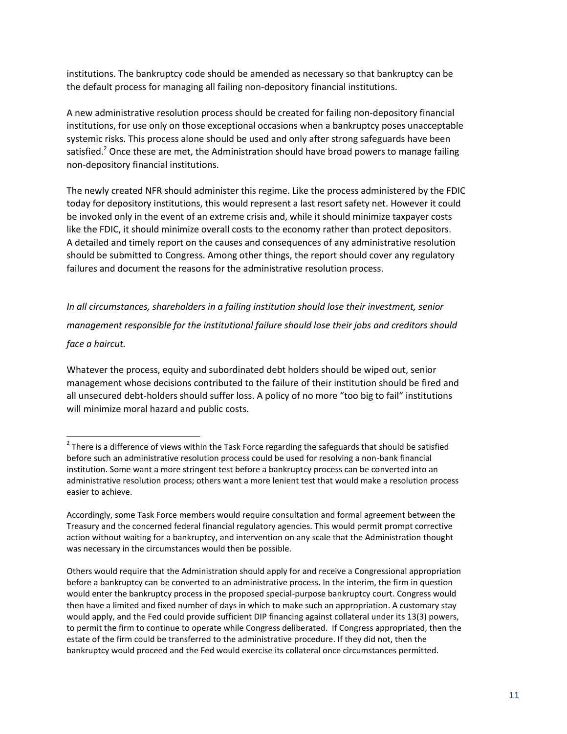institutions. The bankruptcy code should be amended as necessary so that bankruptcy can be the default process for managing all failing non-depository financial institutions.

A new administrative resolution process should be created for failing non-depository financial institutions, for use only on those exceptional occasions when a bankruptcy poses unacceptable systemic risks. This process alone should be used and only after strong safeguards have been satisfied.<sup>2</sup> Once these are met, the Administration should have broad powers to manage failing non-depository financial institutions.

The newly created NFR should administer this regime. Like the process administered by the FDIC today for depository institutions, this would represent a last resort safety net. However it could be invoked only in the event of an extreme crisis and, while it should minimize taxpayer costs like the FDIC, it should minimize overall costs to the economy rather than protect depositors. A detailed and timely report on the causes and consequences of any administrative resolution should be submitted to Congress. Among other things, the report should cover any regulatory failures and document the reasons for the administrative resolution process.

*In all circumstances, shareholders in a failing institution should lose their investment, senior management responsible for the institutional failure should lose their jobs and creditors should face a haircut.* 

Whatever the process, equity and subordinated debt holders should be wiped out, senior management whose decisions contributed to the failure of their institution should be fired and all unsecured debt-holders should suffer loss. A policy of no more "too big to fail" institutions will minimize moral hazard and public costs.

**There is a difference of views within the Task Force regarding the safeguards that should be satisfied** before such an administrative resolution process could be used for resolving a non-bank financial institution. Some want a more stringent test before a bankruptcy process can be converted into an administrative resolution process; others want a more lenient test that would make a resolution process easier to achieve.

Accordingly, some Task Force members would require consultation and formal agreement between the Treasury and the concerned federal financial regulatory agencies. This would permit prompt corrective action without waiting for a bankruptcy, and intervention on any scale that the Administration thought was necessary in the circumstances would then be possible.

Others would require that the Administration should apply for and receive a Congressional appropriation before a bankruptcy can be converted to an administrative process. In the interim, the firm in question would enter the bankruptcy process in the proposed special-purpose bankruptcy court. Congress would then have a limited and fixed number of days in which to make such an appropriation. A customary stay would apply, and the Fed could provide sufficient DIP financing against collateral under its 13(3) powers, to permit the firm to continue to operate while Congress deliberated. If Congress appropriated, then the estate of the firm could be transferred to the administrative procedure. If they did not, then the bankruptcy would proceed and the Fed would exercise its collateral once circumstances permitted.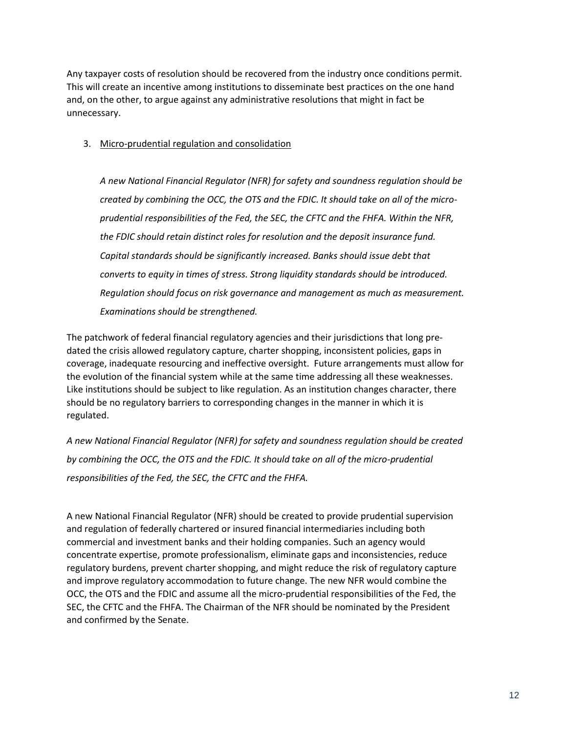Any taxpayer costs of resolution should be recovered from the industry once conditions permit. This will create an incentive among institutions to disseminate best practices on the one hand and, on the other, to argue against any administrative resolutions that might in fact be unnecessary.

# 3. Micro-prudential regulation and consolidation

*A new National Financial Regulator (NFR) for safety and soundness regulation should be created by combining the OCC, the OTS and the FDIC. It should take on all of the microprudential responsibilities of the Fed, the SEC, the CFTC and the FHFA. Within the NFR, the FDIC should retain distinct roles for resolution and the deposit insurance fund. Capital standards should be significantly increased. Banks should issue debt that converts to equity in times of stress. Strong liquidity standards should be introduced. Regulation should focus on risk governance and management as much as measurement. Examinations should be strengthened.* 

The patchwork of federal financial regulatory agencies and their jurisdictions that long predated the crisis allowed regulatory capture, charter shopping, inconsistent policies, gaps in coverage, inadequate resourcing and ineffective oversight. Future arrangements must allow for the evolution of the financial system while at the same time addressing all these weaknesses. Like institutions should be subject to like regulation. As an institution changes character, there should be no regulatory barriers to corresponding changes in the manner in which it is regulated.

*A new National Financial Regulator (NFR) for safety and soundness regulation should be created by combining the OCC, the OTS and the FDIC. It should take on all of the micro-prudential responsibilities of the Fed, the SEC, the CFTC and the FHFA.* 

A new National Financial Regulator (NFR) should be created to provide prudential supervision and regulation of federally chartered or insured financial intermediaries including both commercial and investment banks and their holding companies. Such an agency would concentrate expertise, promote professionalism, eliminate gaps and inconsistencies, reduce regulatory burdens, prevent charter shopping, and might reduce the risk of regulatory capture and improve regulatory accommodation to future change. The new NFR would combine the OCC, the OTS and the FDIC and assume all the micro-prudential responsibilities of the Fed, the SEC, the CFTC and the FHFA. The Chairman of the NFR should be nominated by the President and confirmed by the Senate.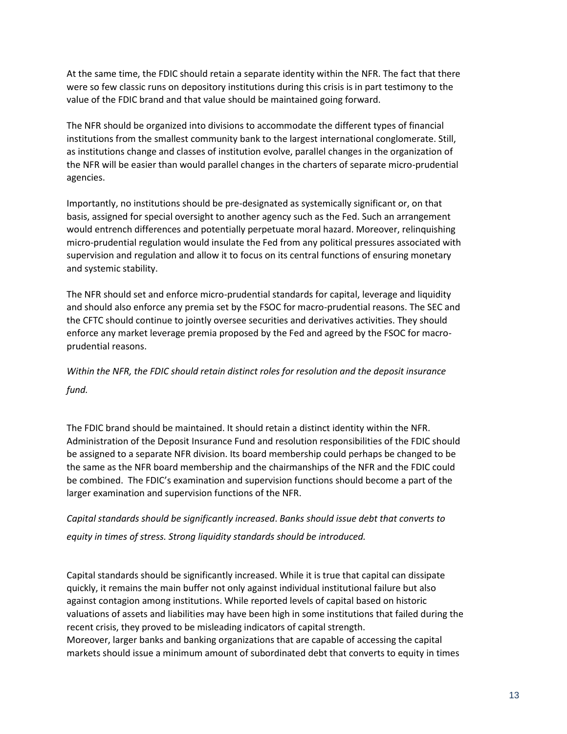At the same time, the FDIC should retain a separate identity within the NFR. The fact that there were so few classic runs on depository institutions during this crisis is in part testimony to the value of the FDIC brand and that value should be maintained going forward.

The NFR should be organized into divisions to accommodate the different types of financial institutions from the smallest community bank to the largest international conglomerate. Still, as institutions change and classes of institution evolve, parallel changes in the organization of the NFR will be easier than would parallel changes in the charters of separate micro-prudential agencies.

Importantly, no institutions should be pre-designated as systemically significant or, on that basis, assigned for special oversight to another agency such as the Fed. Such an arrangement would entrench differences and potentially perpetuate moral hazard. Moreover, relinquishing micro-prudential regulation would insulate the Fed from any political pressures associated with supervision and regulation and allow it to focus on its central functions of ensuring monetary and systemic stability.

The NFR should set and enforce micro-prudential standards for capital, leverage and liquidity and should also enforce any premia set by the FSOC for macro-prudential reasons. The SEC and the CFTC should continue to jointly oversee securities and derivatives activities. They should enforce any market leverage premia proposed by the Fed and agreed by the FSOC for macroprudential reasons.

*Within the NFR, the FDIC should retain distinct roles for resolution and the deposit insurance fund.*

The FDIC brand should be maintained. It should retain a distinct identity within the NFR. Administration of the Deposit Insurance Fund and resolution responsibilities of the FDIC should be assigned to a separate NFR division. Its board membership could perhaps be changed to be the same as the NFR board membership and the chairmanships of the NFR and the FDIC could be combined. The FDIC's examination and supervision functions should become a part of the larger examination and supervision functions of the NFR.

*Capital standards should be significantly increased*. *Banks should issue debt that converts to equity in times of stress. Strong liquidity standards should be introduced.* 

Capital standards should be significantly increased. While it is true that capital can dissipate quickly, it remains the main buffer not only against individual institutional failure but also against contagion among institutions. While reported levels of capital based on historic valuations of assets and liabilities may have been high in some institutions that failed during the recent crisis, they proved to be misleading indicators of capital strength. Moreover, larger banks and banking organizations that are capable of accessing the capital markets should issue a minimum amount of subordinated debt that converts to equity in times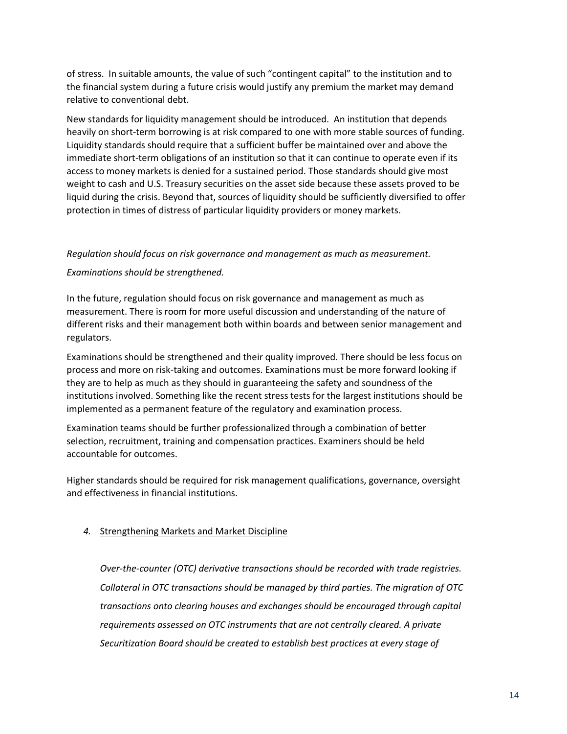of stress. In suitable amounts, the value of such "contingent capital" to the institution and to the financial system during a future crisis would justify any premium the market may demand relative to conventional debt.

New standards for liquidity management should be introduced. An institution that depends heavily on short-term borrowing is at risk compared to one with more stable sources of funding. Liquidity standards should require that a sufficient buffer be maintained over and above the immediate short-term obligations of an institution so that it can continue to operate even if its access to money markets is denied for a sustained period. Those standards should give most weight to cash and U.S. Treasury securities on the asset side because these assets proved to be liquid during the crisis. Beyond that, sources of liquidity should be sufficiently diversified to offer protection in times of distress of particular liquidity providers or money markets.

## *Regulation should focus on risk governance and management as much as measurement.*

## *Examinations should be strengthened.*

In the future, regulation should focus on risk governance and management as much as measurement. There is room for more useful discussion and understanding of the nature of different risks and their management both within boards and between senior management and regulators.

Examinations should be strengthened and their quality improved. There should be less focus on process and more on risk-taking and outcomes. Examinations must be more forward looking if they are to help as much as they should in guaranteeing the safety and soundness of the institutions involved. Something like the recent stress tests for the largest institutions should be implemented as a permanent feature of the regulatory and examination process.

Examination teams should be further professionalized through a combination of better selection, recruitment, training and compensation practices. Examiners should be held accountable for outcomes.

Higher standards should be required for risk management qualifications, governance, oversight and effectiveness in financial institutions.

#### *4.* Strengthening Markets and Market Discipline

*Over-the-counter (OTC) derivative transactions should be recorded with trade registries. Collateral in OTC transactions should be managed by third parties. The migration of OTC transactions onto clearing houses and exchanges should be encouraged through capital requirements assessed on OTC instruments that are not centrally cleared. A private Securitization Board should be created to establish best practices at every stage of*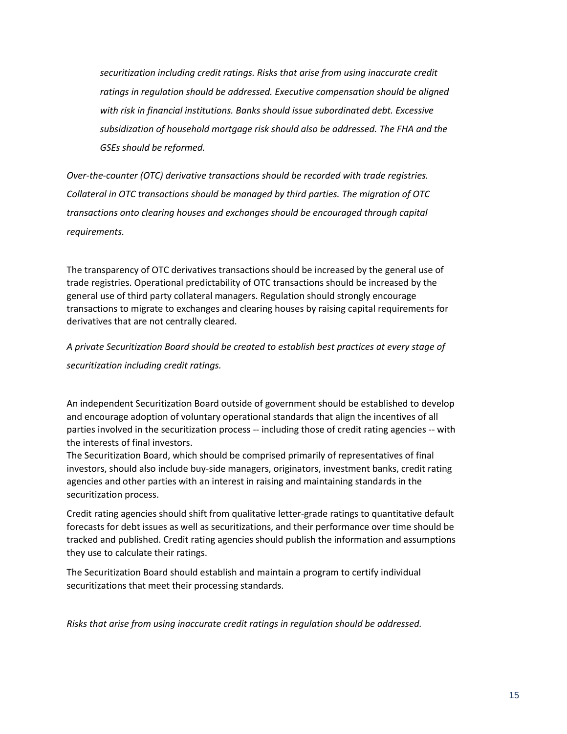*securitization including credit ratings. Risks that arise from using inaccurate credit ratings in regulation should be addressed. Executive compensation should be aligned with risk in financial institutions. Banks should issue subordinated debt. Excessive subsidization of household mortgage risk should also be addressed. The FHA and the GSEs should be reformed.*

*Over-the-counter (OTC) derivative transactions should be recorded with trade registries. Collateral in OTC transactions should be managed by third parties. The migration of OTC transactions onto clearing houses and exchanges should be encouraged through capital requirements.*

The transparency of OTC derivatives transactions should be increased by the general use of trade registries. Operational predictability of OTC transactions should be increased by the general use of third party collateral managers. Regulation should strongly encourage transactions to migrate to exchanges and clearing houses by raising capital requirements for derivatives that are not centrally cleared.

*A private Securitization Board should be created to establish best practices at every stage of* 

*securitization including credit ratings.*

An independent Securitization Board outside of government should be established to develop and encourage adoption of voluntary operational standards that align the incentives of all parties involved in the securitization process -- including those of credit rating agencies -- with the interests of final investors.

The Securitization Board, which should be comprised primarily of representatives of final investors, should also include buy-side managers, originators, investment banks, credit rating agencies and other parties with an interest in raising and maintaining standards in the securitization process.

Credit rating agencies should shift from qualitative letter-grade ratings to quantitative default forecasts for debt issues as well as securitizations, and their performance over time should be tracked and published. Credit rating agencies should publish the information and assumptions they use to calculate their ratings.

The Securitization Board should establish and maintain a program to certify individual securitizations that meet their processing standards.

*Risks that arise from using inaccurate credit ratings in regulation should be addressed.*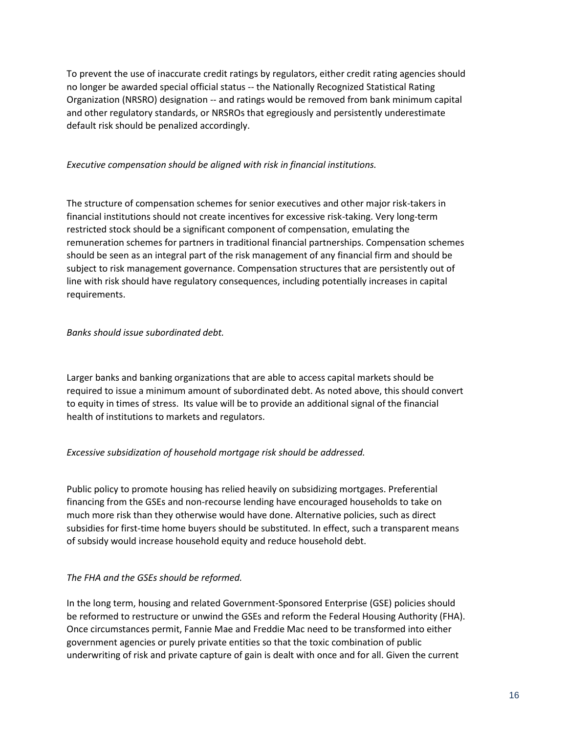To prevent the use of inaccurate credit ratings by regulators, either credit rating agencies should no longer be awarded special official status -- the Nationally Recognized Statistical Rating Organization (NRSRO) designation -- and ratings would be removed from bank minimum capital and other regulatory standards, or NRSROs that egregiously and persistently underestimate default risk should be penalized accordingly.

# *Executive compensation should be aligned with risk in financial institutions.*

The structure of compensation schemes for senior executives and other major risk-takers in financial institutions should not create incentives for excessive risk-taking. Very long-term restricted stock should be a significant component of compensation, emulating the remuneration schemes for partners in traditional financial partnerships. Compensation schemes should be seen as an integral part of the risk management of any financial firm and should be subject to risk management governance. Compensation structures that are persistently out of line with risk should have regulatory consequences, including potentially increases in capital requirements.

## *Banks should issue subordinated debt.*

Larger banks and banking organizations that are able to access capital markets should be required to issue a minimum amount of subordinated debt. As noted above, this should convert to equity in times of stress. Its value will be to provide an additional signal of the financial health of institutions to markets and regulators.

# *Excessive subsidization of household mortgage risk should be addressed.*

Public policy to promote housing has relied heavily on subsidizing mortgages. Preferential financing from the GSEs and non-recourse lending have encouraged households to take on much more risk than they otherwise would have done. Alternative policies, such as direct subsidies for first-time home buyers should be substituted. In effect, such a transparent means of subsidy would increase household equity and reduce household debt.

# *The FHA and the GSEs should be reformed.*

In the long term, housing and related Government-Sponsored Enterprise (GSE) policies should be reformed to restructure or unwind the GSEs and reform the Federal Housing Authority (FHA). Once circumstances permit, Fannie Mae and Freddie Mac need to be transformed into either government agencies or purely private entities so that the toxic combination of public underwriting of risk and private capture of gain is dealt with once and for all. Given the current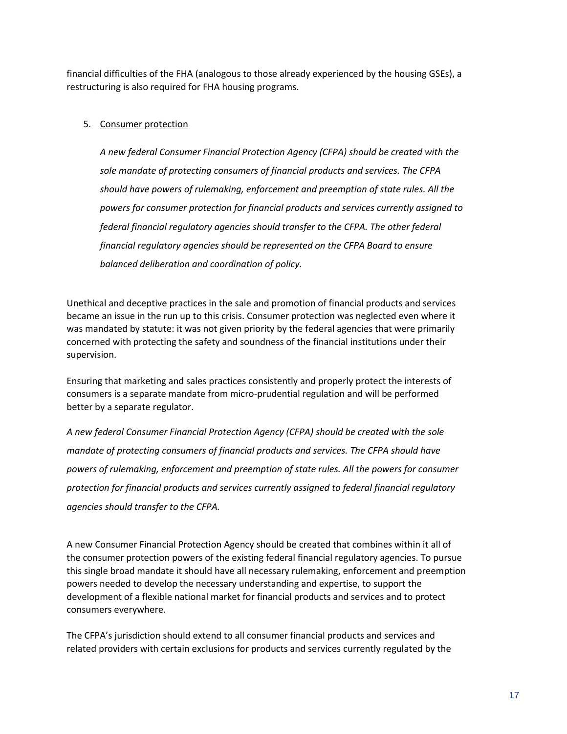financial difficulties of the FHA (analogous to those already experienced by the housing GSEs), a restructuring is also required for FHA housing programs.

# 5. Consumer protection

*A new federal Consumer Financial Protection Agency (CFPA) should be created with the sole mandate of protecting consumers of financial products and services. The CFPA should have powers of rulemaking, enforcement and preemption of state rules. All the powers for consumer protection for financial products and services currently assigned to federal financial regulatory agencies should transfer to the CFPA. The other federal financial regulatory agencies should be represented on the CFPA Board to ensure balanced deliberation and coordination of policy.*

Unethical and deceptive practices in the sale and promotion of financial products and services became an issue in the run up to this crisis. Consumer protection was neglected even where it was mandated by statute: it was not given priority by the federal agencies that were primarily concerned with protecting the safety and soundness of the financial institutions under their supervision.

Ensuring that marketing and sales practices consistently and properly protect the interests of consumers is a separate mandate from micro-prudential regulation and will be performed better by a separate regulator.

*A new federal Consumer Financial Protection Agency (CFPA) should be created with the sole mandate of protecting consumers of financial products and services. The CFPA should have powers of rulemaking, enforcement and preemption of state rules. All the powers for consumer protection for financial products and services currently assigned to federal financial regulatory agencies should transfer to the CFPA.*

A new Consumer Financial Protection Agency should be created that combines within it all of the consumer protection powers of the existing federal financial regulatory agencies. To pursue this single broad mandate it should have all necessary rulemaking, enforcement and preemption powers needed to develop the necessary understanding and expertise, to support the development of a flexible national market for financial products and services and to protect consumers everywhere.

The CFPA's jurisdiction should extend to all consumer financial products and services and related providers with certain exclusions for products and services currently regulated by the